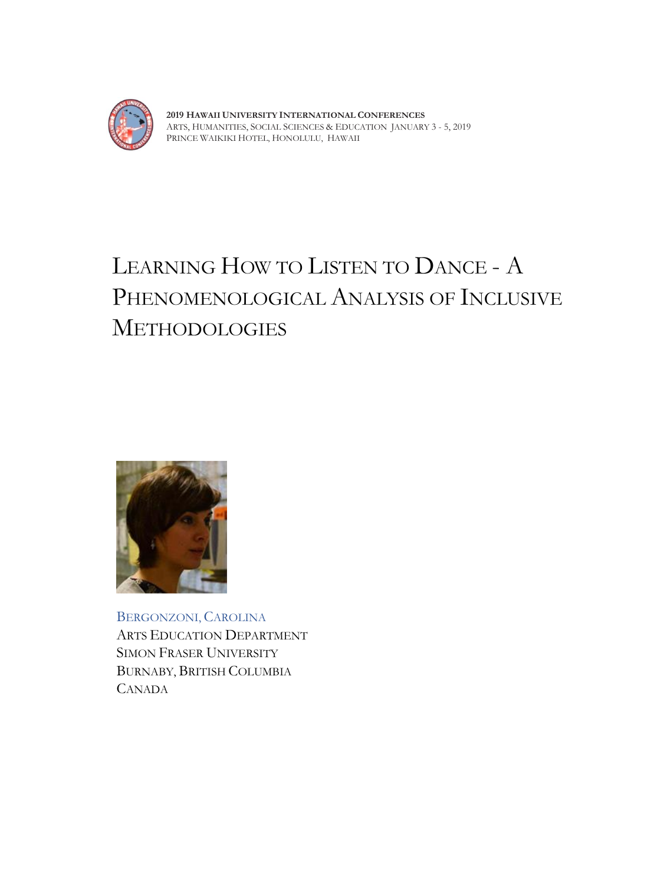

**2019 HAWAII UNIVERSITY INTERNATIONAL CONFERENCES**  ARTS, HUMANITIES, SOCIAL SCIENCES & EDUCATION JANUARY 3 - 5, 2019 PRINCE WAIKIKI HOTEL, HONOLULU, HAWAII

# LEARNING HOW TO LISTEN TO DANCE - A PHENOMENOLOGICAL ANALYSIS OF INCLUSIVE METHODOLOGIES



BERGONZONI, CAROLINA ARTS EDUCATION DEPARTMENT SIMON FRASER UNIVERSITY BURNABY, BRITISH COLUMBIA CANADA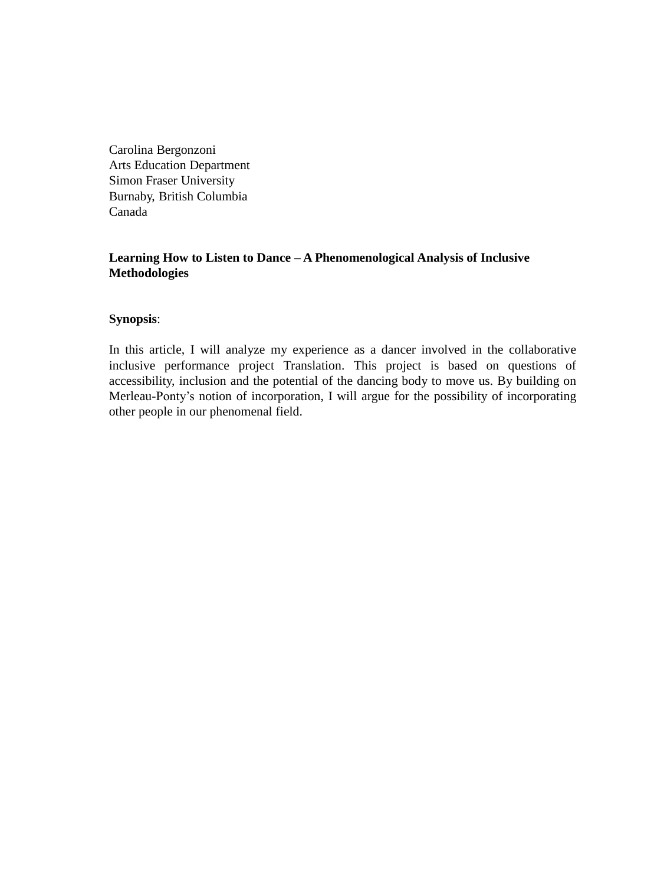Carolina Bergonzoni Arts Education Department Simon Fraser University Burnaby, British Columbia Canada

# **Learning How to Listen to Dance – A Phenomenological Analysis of Inclusive Methodologies**

## **Synopsis**:

In this article, I will analyze my experience as a dancer involved in the collaborative inclusive performance project Translation. This project is based on questions of accessibility, inclusion and the potential of the dancing body to move us. By building on Merleau-Ponty's notion of incorporation, I will argue for the possibility of incorporating other people in our phenomenal field.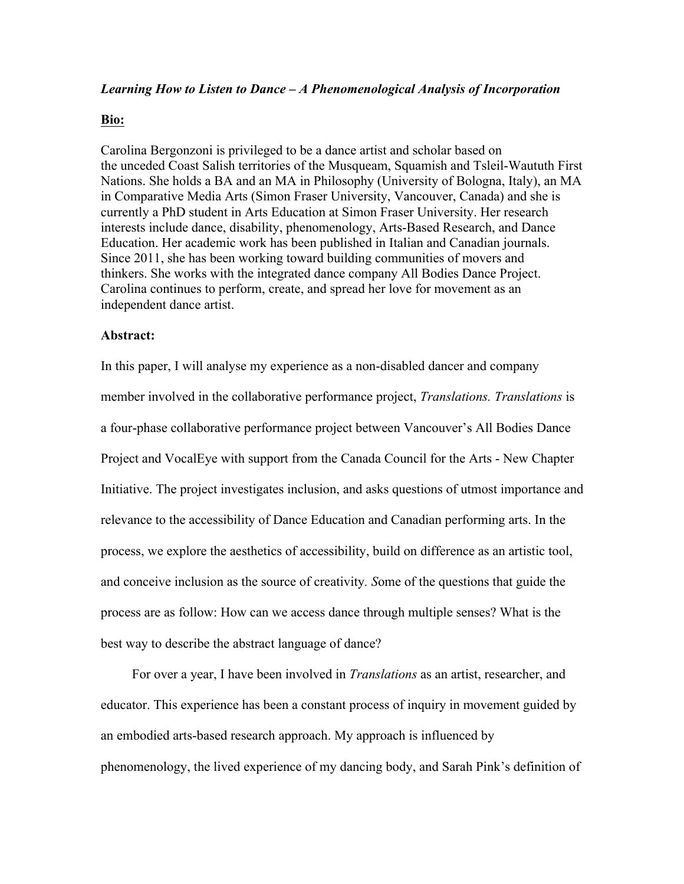## *Learning How to Listen to Dance – A Phenomenological Analysis of Incorporation*

### **Bio:**

Carolina Bergonzoni is privileged to be a dance artist and scholar based on the unceded Coast Salish territories of the Musqueam, Squamish and Tsleil-Waututh First Nations. She holds a BA and an MA in Philosophy (University of Bologna, Italy), an MA in Comparative Media Arts (Simon Fraser University, Vancouver, Canada) and she is currently a PhD student in Arts Education at Simon Fraser University. Her research interests include dance, disability, phenomenology, Arts-Based Research, and Dance Education. Her academic work has been published in Italian and Canadian journals. Since 2011, she has been working toward building communities of movers and thinkers. She works with the integrated dance company All Bodies Dance Project. Carolina continues to perform, create, and spread her love for movement as an independent dance artist.

#### **Abstract:**

In this paper, I will analyse my experience as a non-disabled dancer and company member involved in the collaborative performance project, *Translations. Translations* is a four-phase collaborative performance project between Vancouver's All Bodies Dance Project and VocalEye with support from the Canada Council for the Arts - New Chapter Initiative. The project investigates inclusion, and asks questions of utmost importance and relevance to the accessibility of Dance Education and Canadian performing arts. In the process, we explore the aesthetics of accessibility, build on difference as an artistic tool, and conceive inclusion as the source of creativity*. S*ome of the questions that guide the process are as follow: How can we access dance through multiple senses? What is the best way to describe the abstract language of dance?

For over a year, I have been involved in *Translations* as an artist, researcher, and educator. This experience has been a constant process of inquiry in movement guided by an embodied arts-based research approach. My approach is influenced by phenomenology, the lived experience of my dancing body, and Sarah Pink's definition of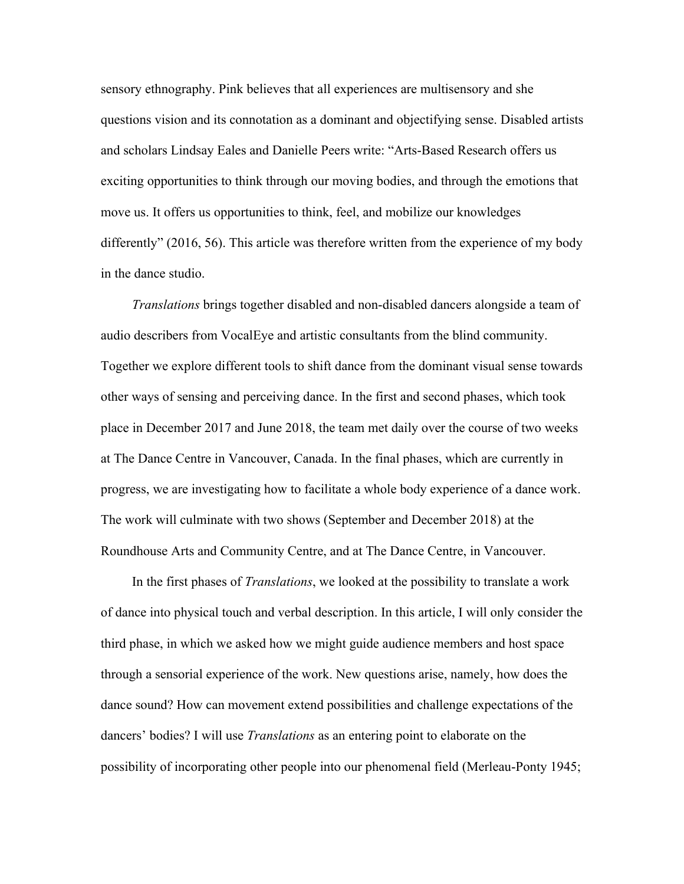sensory ethnography. Pink believes that all experiences are multisensory and she questions vision and its connotation as a dominant and objectifying sense. Disabled artists and scholars Lindsay Eales and Danielle Peers write: "Arts-Based Research offers us exciting opportunities to think through our moving bodies, and through the emotions that move us. It offers us opportunities to think, feel, and mobilize our knowledges differently" (2016, 56). This article was therefore written from the experience of my body in the dance studio.

*Translations* brings together disabled and non-disabled dancers alongside a team of audio describers from VocalEye and artistic consultants from the blind community. Together we explore different tools to shift dance from the dominant visual sense towards other ways of sensing and perceiving dance. In the first and second phases, which took place in December 2017 and June 2018, the team met daily over the course of two weeks at The Dance Centre in Vancouver, Canada. In the final phases, which are currently in progress, we are investigating how to facilitate a whole body experience of a dance work. The work will culminate with two shows (September and December 2018) at the Roundhouse Arts and Community Centre, and at The Dance Centre, in Vancouver.

In the first phases of *Translations*, we looked at the possibility to translate a work of dance into physical touch and verbal description. In this article, I will only consider the third phase, in which we asked how we might guide audience members and host space through a sensorial experience of the work. New questions arise, namely, how does the dance sound? How can movement extend possibilities and challenge expectations of the dancers' bodies? I will use *Translations* as an entering point to elaborate on the possibility of incorporating other people into our phenomenal field (Merleau-Ponty 1945;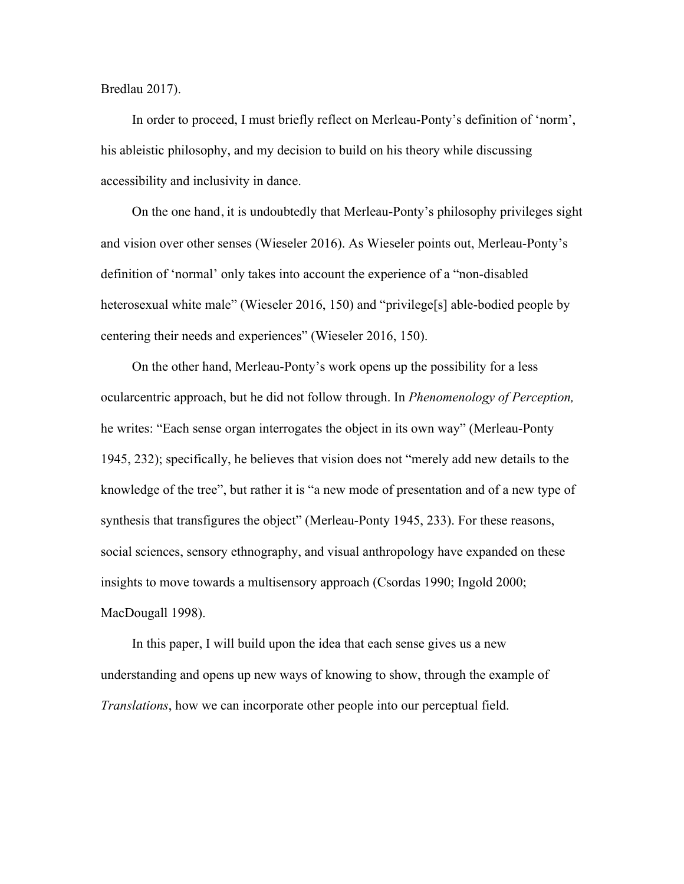Bredlau 2017).

In order to proceed, I must briefly reflect on Merleau-Ponty's definition of 'norm', his ableistic philosophy, and my decision to build on his theory while discussing accessibility and inclusivity in dance.

On the one hand, it is undoubtedly that Merleau-Ponty's philosophy privileges sight and vision over other senses (Wieseler 2016). As Wieseler points out, Merleau-Ponty's definition of 'normal' only takes into account the experience of a "non-disabled heterosexual white male" (Wieseler 2016, 150) and "privilege<sup>[s]</sup> able-bodied people by centering their needs and experiences" (Wieseler 2016, 150).

On the other hand, Merleau-Ponty's work opens up the possibility for a less ocularcentric approach, but he did not follow through. In *Phenomenology of Perception,*  he writes: "Each sense organ interrogates the object in its own way" (Merleau-Ponty 1945, 232); specifically, he believes that vision does not "merely add new details to the knowledge of the tree", but rather it is "a new mode of presentation and of a new type of synthesis that transfigures the object" (Merleau-Ponty 1945, 233). For these reasons, social sciences, sensory ethnography, and visual anthropology have expanded on these insights to move towards a multisensory approach (Csordas 1990; Ingold 2000; MacDougall 1998).

In this paper, I will build upon the idea that each sense gives us a new understanding and opens up new ways of knowing to show, through the example of *Translations*, how we can incorporate other people into our perceptual field.